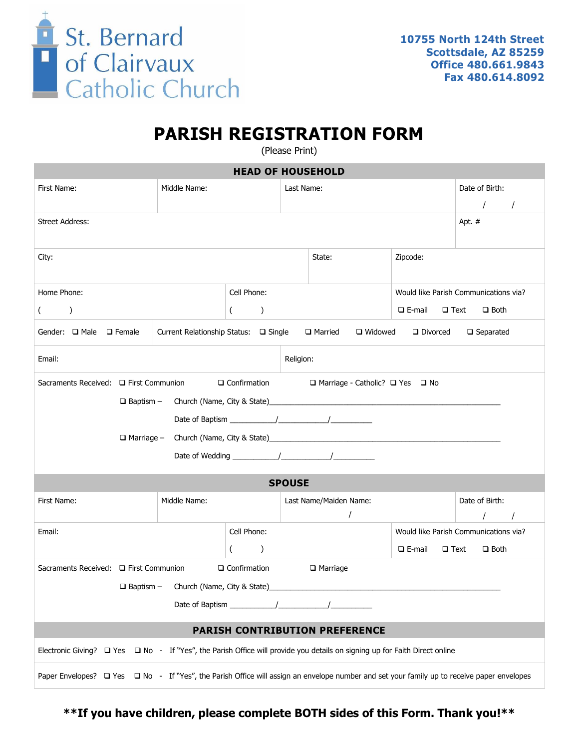

## **PARISH REGISTRATION FORM**

(Please Print)

| <b>HEAD OF HOUSEHOLD</b>                                                                                                                                                              |              |                             |                                       |                                                |                           |                                        |  |
|---------------------------------------------------------------------------------------------------------------------------------------------------------------------------------------|--------------|-----------------------------|---------------------------------------|------------------------------------------------|---------------------------|----------------------------------------|--|
| First Name:                                                                                                                                                                           | Middle Name: |                             | Last Name:                            |                                                |                           | Date of Birth:<br>$\prime$<br>$\prime$ |  |
| <b>Street Address:</b>                                                                                                                                                                |              |                             |                                       |                                                |                           | Apt. #                                 |  |
| City:                                                                                                                                                                                 |              |                             |                                       | State:                                         | Zipcode:                  |                                        |  |
| Cell Phone:<br>Home Phone:                                                                                                                                                            |              |                             | Would like Parish Communications via? |                                                |                           |                                        |  |
| $\lambda$<br>$\left($                                                                                                                                                                 |              | $\mathcal{L}$<br>$\sqrt{2}$ |                                       | $\square$ E-mail<br>$\Box$ Text<br>$\Box$ Both |                           |                                        |  |
| Current Relationship Status: □ Single<br>Gender: $\Box$ Male $\Box$ Female<br>□ Married<br>$\Box$ Widowed<br>Divorced<br>$\Box$ Separated                                             |              |                             |                                       |                                                |                           |                                        |  |
| Email:<br>Religion:                                                                                                                                                                   |              |                             |                                       |                                                |                           |                                        |  |
| □ Confirmation<br>Sacraments Received: □ First Communion<br>□ Marriage - Catholic? □ Yes □ No<br>□ Marriage - Church (Name, City & State)<br>□ Marriage - Church (Name, City & State) |              |                             |                                       |                                                |                           |                                        |  |
| <b>SPOUSE</b>                                                                                                                                                                         |              |                             |                                       |                                                |                           |                                        |  |
| First Name:                                                                                                                                                                           | Middle Name: |                             |                                       | Last Name/Maiden Name:<br>$\prime$             |                           | Date of Birth:                         |  |
| Email:                                                                                                                                                                                |              | Cell Phone:                 |                                       |                                                |                           | Would like Parish Communications via?  |  |
|                                                                                                                                                                                       |              | $\left($<br>$\mathcal{L}$   |                                       |                                                | $\Box$ E-mail $\Box$ Text | $\Box$ Both                            |  |
| Sacraments Received: □ First Communion<br>$\Box$ Confirmation<br>$\Box$ Marriage                                                                                                      |              |                             |                                       |                                                |                           |                                        |  |
| $\Box$ Baptism - Church (Name, City & State)                                                                                                                                          |              |                             |                                       |                                                |                           |                                        |  |
|                                                                                                                                                                                       |              |                             |                                       |                                                |                           |                                        |  |
| <b>PARISH CONTRIBUTION PREFERENCE</b>                                                                                                                                                 |              |                             |                                       |                                                |                           |                                        |  |
| Electronic Giving? $\Box$ Yes $\Box$ No - If "Yes", the Parish Office will provide you details on signing up for Faith Direct online                                                  |              |                             |                                       |                                                |                           |                                        |  |
| Paper Envelopes? □ Yes □ No - If "Yes", the Parish Office will assign an envelope number and set your family up to receive paper envelopes                                            |              |                             |                                       |                                                |                           |                                        |  |

**\*\*If you have children, please complete BOTH sides of this Form. Thank you!\*\***